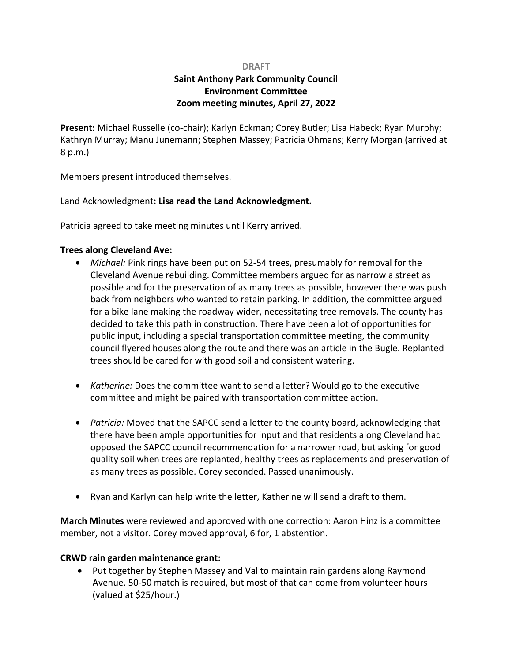#### **DRAFT**

# **Saint Anthony Park Community Council Environment Committee Zoom meeting minutes, April 27, 2022**

**Present:** Michael Russelle (co-chair); Karlyn Eckman; Corey Butler; Lisa Habeck; Ryan Murphy; Kathryn Murray; Manu Junemann; Stephen Massey; Patricia Ohmans; Kerry Morgan (arrived at 8 p.m.)

Members present introduced themselves.

Land Acknowledgment**: Lisa read the Land Acknowledgment.**

Patricia agreed to take meeting minutes until Kerry arrived.

#### **Trees along Cleveland Ave:**

- *Michael:* Pink rings have been put on 52-54 trees, presumably for removal for the Cleveland Avenue rebuilding. Committee members argued for as narrow a street as possible and for the preservation of as many trees as possible, however there was push back from neighbors who wanted to retain parking. In addition, the committee argued for a bike lane making the roadway wider, necessitating tree removals. The county has decided to take this path in construction. There have been a lot of opportunities for public input, including a special transportation committee meeting, the community council flyered houses along the route and there was an article in the Bugle. Replanted trees should be cared for with good soil and consistent watering.
- *Katherine:* Does the committee want to send a letter? Would go to the executive committee and might be paired with transportation committee action.
- *Patricia:* Moved that the SAPCC send a letter to the county board, acknowledging that there have been ample opportunities for input and that residents along Cleveland had opposed the SAPCC council recommendation for a narrower road, but asking for good quality soil when trees are replanted, healthy trees as replacements and preservation of as many trees as possible. Corey seconded. Passed unanimously.
- Ryan and Karlyn can help write the letter, Katherine will send a draft to them.

**March Minutes** were reviewed and approved with one correction: Aaron Hinz is a committee member, not a visitor. Corey moved approval, 6 for, 1 abstention.

### **CRWD rain garden maintenance grant:**

• Put together by Stephen Massey and Val to maintain rain gardens along Raymond Avenue. 50-50 match is required, but most of that can come from volunteer hours (valued at \$25/hour.)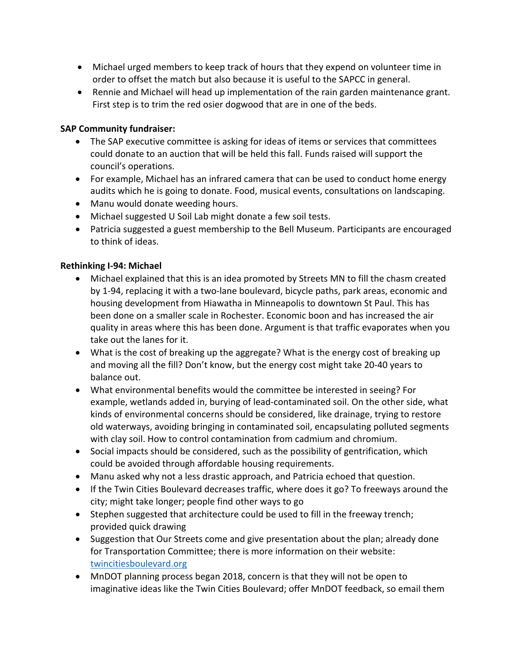- Michael urged members to keep track of hours that they expend on volunteer time in order to offset the match but also because it is useful to the SAPCC in general.
- Rennie and Michael will head up implementation of the rain garden maintenance grant. First step is to trim the red osier dogwood that are in one of the beds.

## **SAP Community fundraiser:**

- The SAP executive committee is asking for ideas of items or services that committees could donate to an auction that will be held this fall. Funds raised will support the council's operations.
- For example, Michael has an infrared camera that can be used to conduct home energy audits which he is going to donate. Food, musical events, consultations on landscaping.
- Manu would donate weeding hours.
- Michael suggested U Soil Lab might donate a few soil tests.
- Patricia suggested a guest membership to the Bell Museum. Participants are encouraged to think of ideas.

### **Rethinking I-94: Michael**

- Michael explained that this is an idea promoted by Streets MN to fill the chasm created by 1-94, replacing it with a two-lane boulevard, bicycle paths, park areas, economic and housing development from Hiawatha in Minneapolis to downtown St Paul. This has been done on a smaller scale in Rochester. Economic boon and has increased the air quality in areas where this has been done. Argument is that traffic evaporates when you take out the lanes for it.
- What is the cost of breaking up the aggregate? What is the energy cost of breaking up and moving all the fill? Don't know, but the energy cost might take 20-40 years to balance out.
- What environmental benefits would the committee be interested in seeing? For example, wetlands added in, burying of lead-contaminated soil. On the other side, what kinds of environmental concerns should be considered, like drainage, trying to restore old waterways, avoiding bringing in contaminated soil, encapsulating polluted segments with clay soil. How to control contamination from cadmium and chromium.
- Social impacts should be considered, such as the possibility of gentrification, which could be avoided through affordable housing requirements.
- Manu asked why not a less drastic approach, and Patricia echoed that question.
- If the Twin Cities Boulevard decreases traffic, where does it go? To freeways around the city; might take longer; people find other ways to go
- Stephen suggested that architecture could be used to fill in the freeway trench; provided quick drawing
- Suggestion that Our Streets come and give presentation about the plan; already done for Transportation Committee; there is more information on their website: twincitiesboulevard.org
- MnDOT planning process began 2018, concern is that they will not be open to imaginative ideas like the Twin Cities Boulevard; offer MnDOT feedback, so email them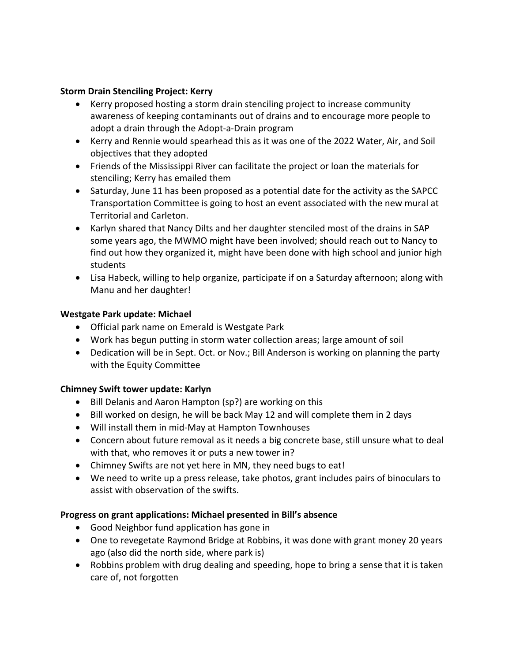## **Storm Drain Stenciling Project: Kerry**

- Kerry proposed hosting a storm drain stenciling project to increase community awareness of keeping contaminants out of drains and to encourage more people to adopt a drain through the Adopt-a-Drain program
- Kerry and Rennie would spearhead this as it was one of the 2022 Water, Air, and Soil objectives that they adopted
- Friends of the Mississippi River can facilitate the project or loan the materials for stenciling; Kerry has emailed them
- Saturday, June 11 has been proposed as a potential date for the activity as the SAPCC Transportation Committee is going to host an event associated with the new mural at Territorial and Carleton.
- Karlyn shared that Nancy Dilts and her daughter stenciled most of the drains in SAP some years ago, the MWMO might have been involved; should reach out to Nancy to find out how they organized it, might have been done with high school and junior high students
- Lisa Habeck, willing to help organize, participate if on a Saturday afternoon; along with Manu and her daughter!

# **Westgate Park update: Michael**

- Official park name on Emerald is Westgate Park
- Work has begun putting in storm water collection areas; large amount of soil
- Dedication will be in Sept. Oct. or Nov.; Bill Anderson is working on planning the party with the Equity Committee

# **Chimney Swift tower update: Karlyn**

- Bill Delanis and Aaron Hampton (sp?) are working on this
- Bill worked on design, he will be back May 12 and will complete them in 2 days
- Will install them in mid-May at Hampton Townhouses
- Concern about future removal as it needs a big concrete base, still unsure what to deal with that, who removes it or puts a new tower in?
- Chimney Swifts are not yet here in MN, they need bugs to eat!
- We need to write up a press release, take photos, grant includes pairs of binoculars to assist with observation of the swifts.

### **Progress on grant applications: Michael presented in Bill's absence**

- Good Neighbor fund application has gone in
- One to revegetate Raymond Bridge at Robbins, it was done with grant money 20 years ago (also did the north side, where park is)
- Robbins problem with drug dealing and speeding, hope to bring a sense that it is taken care of, not forgotten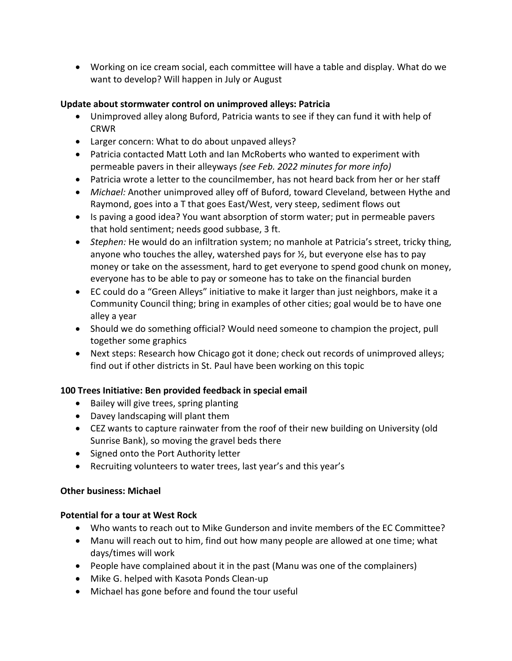• Working on ice cream social, each committee will have a table and display. What do we want to develop? Will happen in July or August

## **Update about stormwater control on unimproved alleys: Patricia**

- Unimproved alley along Buford, Patricia wants to see if they can fund it with help of CRWR
- Larger concern: What to do about unpaved alleys?
- Patricia contacted Matt Loth and Ian McRoberts who wanted to experiment with permeable pavers in their alleyways *(see Feb. 2022 minutes for more info)*
- Patricia wrote a letter to the councilmember, has not heard back from her or her staff
- *Michael:* Another unimproved alley off of Buford, toward Cleveland, between Hythe and Raymond, goes into a T that goes East/West, very steep, sediment flows out
- Is paving a good idea? You want absorption of storm water; put in permeable pavers that hold sentiment; needs good subbase, 3 ft.
- *Stephen:* He would do an infiltration system; no manhole at Patricia's street, tricky thing, anyone who touches the alley, watershed pays for  $\frac{1}{2}$ , but everyone else has to pay money or take on the assessment, hard to get everyone to spend good chunk on money, everyone has to be able to pay or someone has to take on the financial burden
- EC could do a "Green Alleys" initiative to make it larger than just neighbors, make it a Community Council thing; bring in examples of other cities; goal would be to have one alley a year
- Should we do something official? Would need someone to champion the project, pull together some graphics
- Next steps: Research how Chicago got it done; check out records of unimproved alleys; find out if other districts in St. Paul have been working on this topic

# **100 Trees Initiative: Ben provided feedback in special email**

- Bailey will give trees, spring planting
- Davey landscaping will plant them
- CEZ wants to capture rainwater from the roof of their new building on University (old Sunrise Bank), so moving the gravel beds there
- Signed onto the Port Authority letter
- Recruiting volunteers to water trees, last year's and this year's

# **Other business: Michael**

# **Potential for a tour at West Rock**

- Who wants to reach out to Mike Gunderson and invite members of the EC Committee?
- Manu will reach out to him, find out how many people are allowed at one time; what days/times will work
- People have complained about it in the past (Manu was one of the complainers)
- Mike G. helped with Kasota Ponds Clean-up
- Michael has gone before and found the tour useful